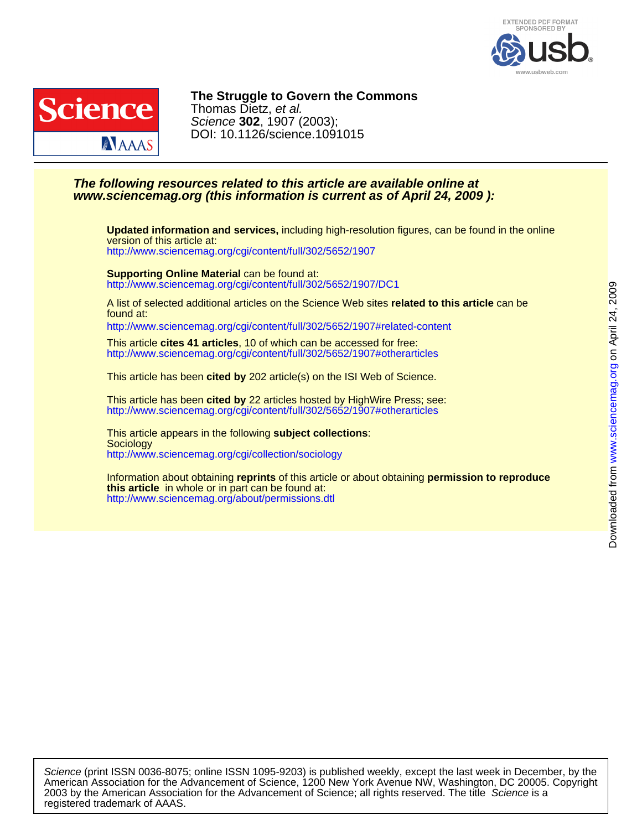



DOI: 10.1126/science.1091015 Science **302**, 1907 (2003); Thomas Dietz, et al. **The Struggle to Govern the Commons**

#### **www.sciencemag.org (this information is current as of April 24, 2009 ): The following resources related to this article are available online at**

<http://www.sciencemag.org/cgi/content/full/302/5652/1907> version of this article at: **Updated information and services,** including high-resolution figures, can be found in the online

<http://www.sciencemag.org/cgi/content/full/302/5652/1907/DC1> **Supporting Online Material** can be found at:

found at: A list of selected additional articles on the Science Web sites **related to this article** can be

<http://www.sciencemag.org/cgi/content/full/302/5652/1907#related-content>

<http://www.sciencemag.org/cgi/content/full/302/5652/1907#otherarticles> This article **cites 41 articles**, 10 of which can be accessed for free:

This article has been **cited by** 202 article(s) on the ISI Web of Science.

<http://www.sciencemag.org/cgi/content/full/302/5652/1907#otherarticles> This article has been **cited by** 22 articles hosted by HighWire Press; see:

<http://www.sciencemag.org/cgi/collection/sociology> **Sociology** This article appears in the following **subject collections**:

<http://www.sciencemag.org/about/permissions.dtl> **this article** in whole or in part can be found at: Information about obtaining **reprints** of this article or about obtaining **permission to reproduce**

on April 24, 2009 [www.sciencemag.org](http://www.sciencemag.org) Downloaded from www.sciencemag.org on April 24, 2009 Downloaded from

registered trademark of AAAS. 2003 by the American Association for the Advancement of Science; all rights reserved. The title Science is a American Association for the Advancement of Science, 1200 New York Avenue NW, Washington, DC 20005. Copyright Science (print ISSN 0036-8075; online ISSN 1095-9203) is published weekly, except the last week in December, by the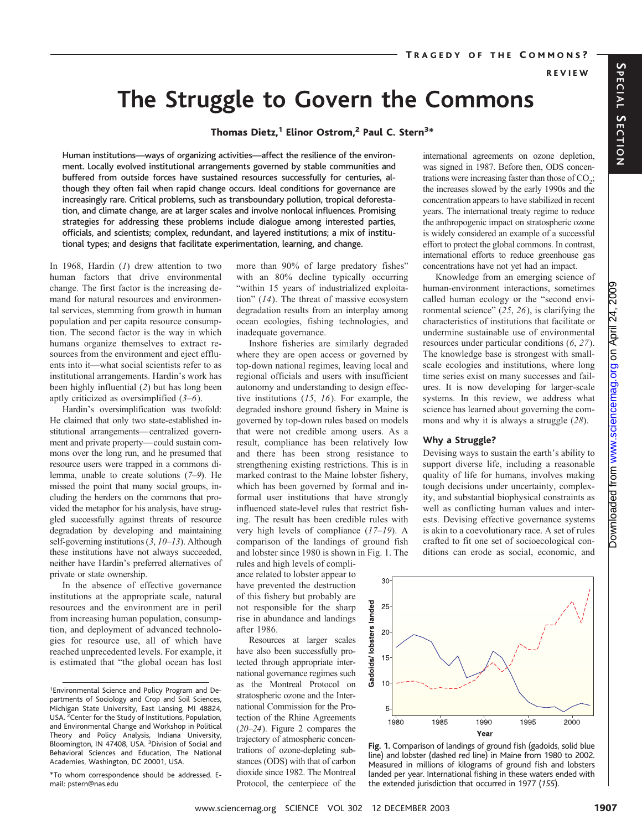### REVIEW

## **The Struggle to Govern the Commons**

#### Thomas Dietz, $^1$  Elinor Ostrom, $^2$  Paul C. Stern $^{\text{3}*}$

Human institutions—ways of organizing activities—affect the resilience of the environment. Locally evolved institutional arrangements governed by stable communities and buffered from outside forces have sustained resources successfully for centuries, although they often fail when rapid change occurs. Ideal conditions for governance are increasingly rare. Critical problems, such as transboundary pollution, tropical deforestation, and climate change, are at larger scales and involve nonlocal influences. Promising strategies for addressing these problems include dialogue among interested parties, officials, and scientists; complex, redundant, and layered institutions; a mix of institutional types; and designs that facilitate experimentation, learning, and change.

In 1968, Hardin (*1*) drew attention to two human factors that drive environmental change. The first factor is the increasing demand for natural resources and environmental services, stemming from growth in human population and per capita resource consumption. The second factor is the way in which humans organize themselves to extract resources from the environment and eject effluents into it—what social scientists refer to as institutional arrangements. Hardin's work has been highly influential (*2*) but has long been aptly criticized as oversimplified (*3*–*6*).

Hardin's oversimplification was twofold: He claimed that only two state-established institutional arrangements—centralized government and private property—could sustain commons over the long run, and he presumed that resource users were trapped in a commons dilemma, unable to create solutions (*7*–*9*). He missed the point that many social groups, including the herders on the commons that provided the metaphor for his analysis, have struggled successfully against threats of resource degradation by developing and maintaining self-governing institutions (*3*, *10*–*13*). Although these institutions have not always succeeded, neither have Hardin's preferred alternatives of private or state ownership.

In the absence of effective governance institutions at the appropriate scale, natural resources and the environment are in peril from increasing human population, consumption, and deployment of advanced technologies for resource use, all of which have reached unprecedented levels. For example, it is estimated that "the global ocean has lost

more than 90% of large predatory fishes" with an 80% decline typically occurring "within 15 years of industrialized exploitation" (*14*). The threat of massive ecosystem degradation results from an interplay among ocean ecologies, fishing technologies, and inadequate governance.

Inshore fisheries are similarly degraded where they are open access or governed by top-down national regimes, leaving local and regional officials and users with insufficient autonomy and understanding to design effective institutions (*15*, *16*). For example, the degraded inshore ground fishery in Maine is governed by top-down rules based on models that were not credible among users. As a result, compliance has been relatively low and there has been strong resistance to strengthening existing restrictions. This is in marked contrast to the Maine lobster fishery, which has been governed by formal and informal user institutions that have strongly influenced state-level rules that restrict fishing. The result has been credible rules with very high levels of compliance (*17*–*19*). A comparison of the landings of ground fish and lobster since 1980 is shown in Fig. 1. The

rules and high levels of compliance related to lobster appear to have prevented the destruction of this fishery but probably are not responsible for the sharp rise in abundance and landings after 1986.

Resources at larger scales have also been successfully protected through appropriate international governance regimes such as the Montreal Protocol on stratospheric ozone and the International Commission for the Protection of the Rhine Agreements (*20*–*24*). Figure 2 compares the trajectory of atmospheric concentrations of ozone-depleting substances (ODS) with that of carbon dioxide since 1982. The Montreal Protocol, the centerpiece of the

international agreements on ozone depletion, was signed in 1987. Before then, ODS concentrations were increasing faster than those of  $CO<sub>2</sub>$ ; the increases slowed by the early 1990s and the concentration appears to have stabilized in recent years. The international treaty regime to reduce the anthropogenic impact on stratospheric ozone is widely considered an example of a successful effort to protect the global commons. In contrast, international efforts to reduce greenhouse gas concentrations have not yet had an impact.

Knowledge from an emerging science of human-environment interactions, sometimes called human ecology or the "second environmental science" (*25*, *26*), is clarifying the characteristics of institutions that facilitate or undermine sustainable use of environmental resources under particular conditions (*6*, *27*). The knowledge base is strongest with smallscale ecologies and institutions, where long time series exist on many successes and failures. It is now developing for larger-scale systems. In this review, we address what science has learned about governing the commons and why it is always a struggle (*28*).

#### **Why a Struggle?**

Devising ways to sustain the earth's ability to support diverse life, including a reasonable quality of life for humans, involves making tough decisions under uncertainty, complexity, and substantial biophysical constraints as well as conflicting human values and interests. Devising effective governance systems is akin to a coevolutionary race. A set of rules crafted to fit one set of socioecological conditions can erode as social, economic, and



**Fig. 1.** Comparison of landings of ground fish (gadoids, solid blue line) and lobster (dashed red line) in Maine from 1980 to 2002. Measured in millions of kilograms of ground fish and lobsters landed per year. International fishing in these waters ended with the extended jurisdiction that occurred in 1977 (*155*).

<sup>1</sup> Environmental Science and Policy Program and Departments of Sociology and Crop and Soil Sciences, Michigan State University, East Lansing, MI 48824, USA. <sup>2</sup> Center for the Study of Institutions, Population, and Environmental Change and Workshop in Political Theory and Policy Analysis, Indiana University, Bloomington, IN 47408, USA. <sup>3</sup> Division of Social and Behavioral Sciences and Education, The National Academies, Washington, DC 20001, USA.

<sup>\*</sup>To whom correspondence should be addressed. Email: pstern@nas.edu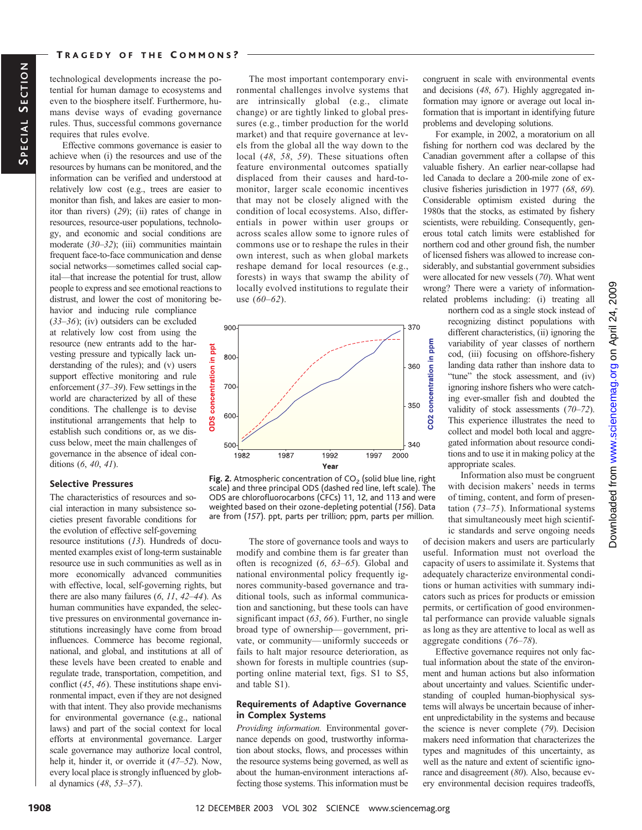#### TRAGEDY OF THE COMMONS?

technological developments increase the potential for human damage to ecosystems and even to the biosphere itself. Furthermore, humans devise ways of evading governance rules. Thus, successful commons governance requires that rules evolve.

**SPECIAL**

**SECTION**

Effective commons governance is easier to achieve when (i) the resources and use of the resources by humans can be monitored, and the information can be verified and understood at relatively low cost (e.g., trees are easier to monitor than fish, and lakes are easier to monitor than rivers) (*29*); (ii) rates of change in resources, resource-user populations, technology, and economic and social conditions are moderate (*30*–*32*); (iii) communities maintain frequent face-to-face communication and dense social networks—sometimes called social capital—that increase the potential for trust, allow people to express and see emotional reactions to distrust, and lower the cost of monitoring be-

havior and inducing rule compliance (*33*–*36*); (iv) outsiders can be excluded at relatively low cost from using the resource (new entrants add to the harvesting pressure and typically lack understanding of the rules); and (v) users support effective monitoring and rule enforcement (*37*–*39*). Few settings in the world are characterized by all of these conditions. The challenge is to devise institutional arrangements that help to establish such conditions or, as we discuss below, meet the main challenges of governance in the absence of ideal conditions (*6*, *40*, *41*).

#### **Selective Pressures**

The characteristics of resources and social interaction in many subsistence societies present favorable conditions for the evolution of effective self-governing

resource institutions (*13*). Hundreds of documented examples exist of long-term sustainable resource use in such communities as well as in more economically advanced communities with effective, local, self-governing rights, but there are also many failures (*6*, *11*, *42*–*44*). As human communities have expanded, the selective pressures on environmental governance institutions increasingly have come from broad influences. Commerce has become regional, national, and global, and institutions at all of these levels have been created to enable and regulate trade, transportation, competition, and conflict (*45*, *46*). These institutions shape environmental impact, even if they are not designed with that intent. They also provide mechanisms for environmental governance (e.g., national laws) and part of the social context for local efforts at environmental governance. Larger scale governance may authorize local control, help it, hinder it, or override it (*47*–*52*). Now, every local place is strongly influenced by global dynamics (*48*, *53*–*57*).

The most important contemporary environmental challenges involve systems that are intrinsically global (e.g., climate change) or are tightly linked to global pressures (e.g., timber production for the world market) and that require governance at levels from the global all the way down to the local (*48*, *58*, *59*). These situations often feature environmental outcomes spatially displaced from their causes and hard-tomonitor, larger scale economic incentives that may not be closely aligned with the condition of local ecosystems. Also, differentials in power within user groups or across scales allow some to ignore rules of commons use or to reshape the rules in their own interest, such as when global markets reshape demand for local resources (e.g., forests) in ways that swamp the ability of locally evolved institutions to regulate their use (*60*–*62*).



Fig. 2. Atmospheric concentration of CO<sub>2</sub> (solid blue line, right scale) and three principal ODS (dashed red line, left scale). The ODS are chlorofluorocarbons (CFCs) 11, 12, and 113 and were weighted based on their ozone-depleting potential (*156*). Data are from (*157*). ppt, parts per trillion; ppm, parts per million.

The store of governance tools and ways to modify and combine them is far greater than often is recognized (*6*, *63*–*65*). Global and national environmental policy frequently ignores community-based governance and traditional tools, such as informal communication and sanctioning, but these tools can have significant impact (*63*, *66*). Further, no single broad type of ownership—government, private, or community—uniformly succeeds or fails to halt major resource deterioration, as shown for forests in multiple countries (supporting online material text, figs. S1 to S5, and table S1).

#### **Requirements of Adaptive Governance in Complex Systems**

*Providing information.* Environmental governance depends on good, trustworthy information about stocks, flows, and processes within the resource systems being governed, as well as about the human-environment interactions affecting those systems. This information must be congruent in scale with environmental events and decisions (*48*, *67*). Highly aggregated information may ignore or average out local information that is important in identifying future problems and developing solutions.

For example, in 2002, a moratorium on all fishing for northern cod was declared by the Canadian government after a collapse of this valuable fishery. An earlier near-collapse had led Canada to declare a 200-mile zone of exclusive fisheries jurisdiction in 1977 (*68*, *69*). Considerable optimism existed during the 1980s that the stocks, as estimated by fishery scientists, were rebuilding. Consequently, generous total catch limits were established for northern cod and other ground fish, the number of licensed fishers was allowed to increase considerably, and substantial government subsidies were allocated for new vessels (*70*). What went wrong? There were a variety of informationrelated problems including: (i) treating all

northern cod as a single stock instead of recognizing distinct populations with different characteristics, (ii) ignoring the variability of year classes of northern cod, (iii) focusing on offshore-fishery landing data rather than inshore data to "tune" the stock assessment, and (iv) ignoring inshore fishers who were catching ever-smaller fish and doubted the validity of stock assessments (*70*–*72*). This experience illustrates the need to collect and model both local and aggregated information about resource conditions and to use it in making policy at the appropriate scales.

Information also must be congruent with decision makers' needs in terms of timing, content, and form of presentation (*73*–*75*). Informational systems that simultaneously meet high scientific standards and serve ongoing needs

of decision makers and users are particularly useful. Information must not overload the capacity of users to assimilate it. Systems that adequately characterize environmental conditions or human activities with summary indicators such as prices for products or emission permits, or certification of good environmental performance can provide valuable signals as long as they are attentive to local as well as aggregate conditions (*76*–*78*).

Effective governance requires not only factual information about the state of the environment and human actions but also information about uncertainty and values. Scientific understanding of coupled human-biophysical systems will always be uncertain because of inherent unpredictability in the systems and because the science is never complete (*79*). Decision makers need information that characterizes the types and magnitudes of this uncertainty, as well as the nature and extent of scientific ignorance and disagreement (*80*). Also, because every environmental decision requires tradeoffs,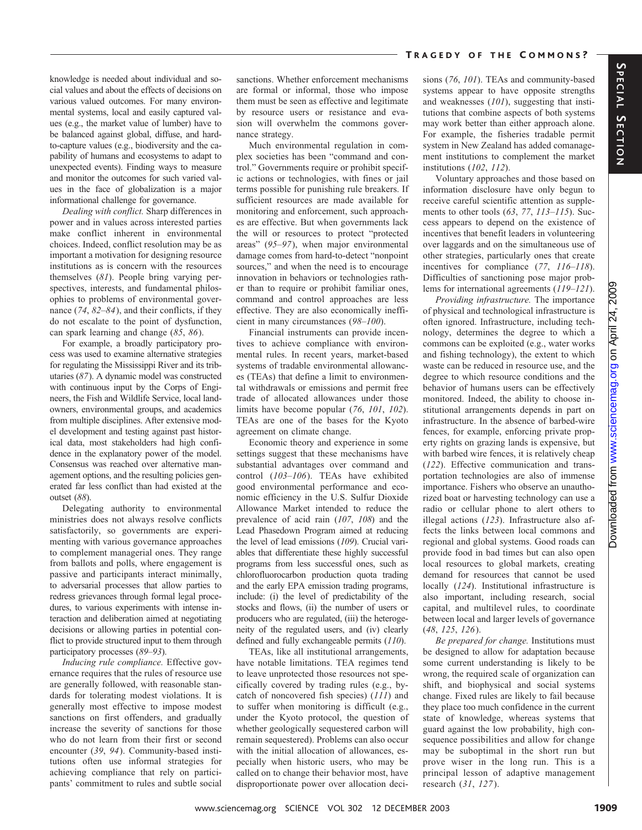knowledge is needed about individual and social values and about the effects of decisions on various valued outcomes. For many environmental systems, local and easily captured values (e.g., the market value of lumber) have to be balanced against global, diffuse, and hardto-capture values (e.g., biodiversity and the capability of humans and ecosystems to adapt to unexpected events). Finding ways to measure and monitor the outcomes for such varied values in the face of globalization is a major informational challenge for governance.

*Dealing with conflict.* Sharp differences in power and in values across interested parties make conflict inherent in environmental choices. Indeed, conflict resolution may be as important a motivation for designing resource institutions as is concern with the resources themselves (*81*). People bring varying perspectives, interests, and fundamental philosophies to problems of environmental governance (*74*, *82*–*84*), and their conflicts, if they do not escalate to the point of dysfunction, can spark learning and change (*85*, *86*).

For example, a broadly participatory process was used to examine alternative strategies for regulating the Mississippi River and its tributaries (*87*). A dynamic model was constructed with continuous input by the Corps of Engineers, the Fish and Wildlife Service, local landowners, environmental groups, and academics from multiple disciplines. After extensive model development and testing against past historical data, most stakeholders had high confidence in the explanatory power of the model. Consensus was reached over alternative management options, and the resulting policies generated far less conflict than had existed at the outset (*88*).

Delegating authority to environmental ministries does not always resolve conflicts satisfactorily, so governments are experimenting with various governance approaches to complement managerial ones. They range from ballots and polls, where engagement is passive and participants interact minimally, to adversarial processes that allow parties to redress grievances through formal legal procedures, to various experiments with intense interaction and deliberation aimed at negotiating decisions or allowing parties in potential conflict to provide structured input to them through participatory processes (*89*–*93*).

*Inducing rule compliance.* Effective governance requires that the rules of resource use are generally followed, with reasonable standards for tolerating modest violations. It is generally most effective to impose modest sanctions on first offenders, and gradually increase the severity of sanctions for those who do not learn from their first or second encounter (*39*, *94*). Community-based institutions often use informal strategies for achieving compliance that rely on participants' commitment to rules and subtle social sanctions. Whether enforcement mechanisms are formal or informal, those who impose them must be seen as effective and legitimate by resource users or resistance and evasion will overwhelm the commons governance strategy.

Much environmental regulation in complex societies has been "command and control." Governments require or prohibit specific actions or technologies, with fines or jail terms possible for punishing rule breakers. If sufficient resources are made available for monitoring and enforcement, such approaches are effective. But when governments lack the will or resources to protect "protected areas" (*95*–*97*), when major environmental damage comes from hard-to-detect "nonpoint sources," and when the need is to encourage innovation in behaviors or technologies rather than to require or prohibit familiar ones, command and control approaches are less effective. They are also economically inefficient in many circumstances (*98*–*100*).

Financial instruments can provide incentives to achieve compliance with environmental rules. In recent years, market-based systems of tradable environmental allowances (TEAs) that define a limit to environmental withdrawals or emissions and permit free trade of allocated allowances under those limits have become popular (*76*, *101*, *102*). TEAs are one of the bases for the Kyoto agreement on climate change.

Economic theory and experience in some settings suggest that these mechanisms have substantial advantages over command and control (*103*–*106*). TEAs have exhibited good environmental performance and economic efficiency in the U.S. Sulfur Dioxide Allowance Market intended to reduce the prevalence of acid rain (*107*, *108*) and the Lead Phasedown Program aimed at reducing the level of lead emissions (*109*). Crucial variables that differentiate these highly successful programs from less successful ones, such as chlorofluorocarbon production quota trading and the early EPA emission trading programs, include: (i) the level of predictability of the stocks and flows, (ii) the number of users or producers who are regulated, (iii) the heterogeneity of the regulated users, and (iv) clearly defined and fully exchangeable permits (*110*).

TEAs, like all institutional arrangements, have notable limitations. TEA regimes tend to leave unprotected those resources not specifically covered by trading rules (e.g., bycatch of noncovered fish species) (*111*) and to suffer when monitoring is difficult (e.g., under the Kyoto protocol, the question of whether geologically sequestered carbon will remain sequestered). Problems can also occur with the initial allocation of allowances, especially when historic users, who may be called on to change their behavior most, have disproportionate power over allocation deci-

sions (*76*, *101*). TEAs and community-based systems appear to have opposite strengths and weaknesses (*101*), suggesting that institutions that combine aspects of both systems may work better than either approach alone. For example, the fisheries tradable permit system in New Zealand has added comanagement institutions to complement the market institutions (*102*, *112*).

Voluntary approaches and those based on information disclosure have only begun to receive careful scientific attention as supplements to other tools (*63*, *77*, *113*–*115*). Success appears to depend on the existence of incentives that benefit leaders in volunteering over laggards and on the simultaneous use of other strategies, particularly ones that create incentives for compliance (*77*, *116*–*118*). Difficulties of sanctioning pose major problems for international agreements (*119*–*121*).

*Providing infrastructure.* The importance of physical and technological infrastructure is often ignored. Infrastructure, including technology, determines the degree to which a commons can be exploited (e.g., water works and fishing technology), the extent to which waste can be reduced in resource use, and the degree to which resource conditions and the behavior of humans users can be effectively monitored. Indeed, the ability to choose institutional arrangements depends in part on infrastructure. In the absence of barbed-wire fences, for example, enforcing private property rights on grazing lands is expensive, but with barbed wire fences, it is relatively cheap (*122*). Effective communication and transportation technologies are also of immense importance. Fishers who observe an unauthorized boat or harvesting technology can use a radio or cellular phone to alert others to illegal actions (*123*). Infrastructure also affects the links between local commons and regional and global systems. Good roads can provide food in bad times but can also open local resources to global markets, creating demand for resources that cannot be used locally (*124*). Institutional infrastructure is also important, including research, social capital, and multilevel rules, to coordinate between local and larger levels of governance (*48*, *125*, *126*).

*Be prepared for change.* Institutions must be designed to allow for adaptation because some current understanding is likely to be wrong, the required scale of organization can shift, and biophysical and social systems change. Fixed rules are likely to fail because they place too much confidence in the current state of knowledge, whereas systems that guard against the low probability, high consequence possibilities and allow for change may be suboptimal in the short run but prove wiser in the long run. This is a principal lesson of adaptive management research (*31*, *127*).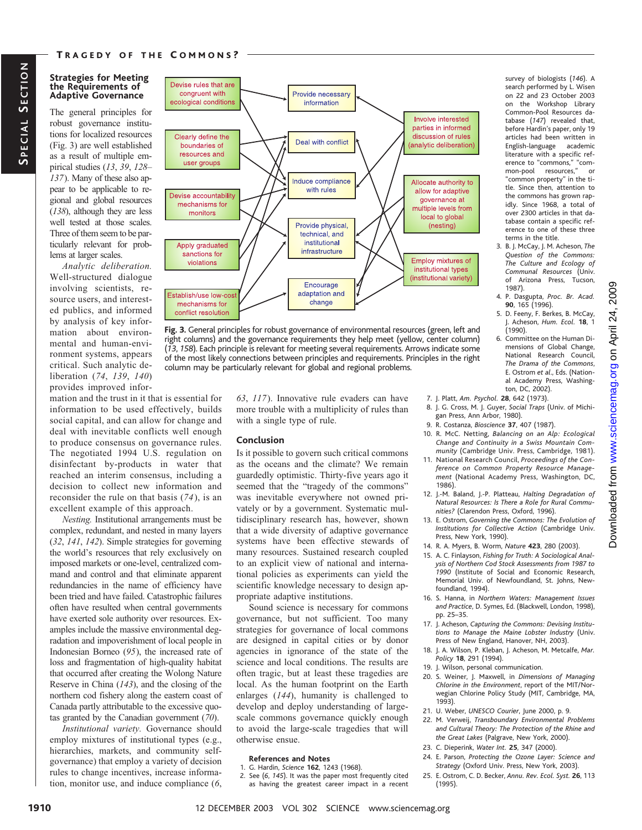#### **Strategies for Meeting the Requirements of Adaptive Governance**

The general principles for robust governance institutions for localized resources (Fig. 3) are well established as a result of multiple empirical studies (*13*, *39*, *128*– *137*). Many of these also appear to be applicable to regional and global resources (*138*), although they are less well tested at those scales. Three of them seem to be particularly relevant for problems at larger scales.

*Analytic deliberation.* Well-structured dialogue involving scientists, resource users, and interested publics, and informed by analysis of key information about environmental and human-environment systems, appears critical. Such analytic deliberation (*74*, *139*, *140*) provides improved infor-

mation and the trust in it that is essential for information to be used effectively, builds social capital, and can allow for change and deal with inevitable conflicts well enough to produce consensus on governance rules. The negotiated 1994 U.S. regulation on disinfectant by-products in water that reached an interim consensus, including a decision to collect new information and reconsider the rule on that basis (*74*), is an excellent example of this approach.

*Nesting.* Institutional arrangements must be complex, redundant, and nested in many layers (*32*, *141*, *142*). Simple strategies for governing the world's resources that rely exclusively on imposed markets or one-level, centralized command and control and that eliminate apparent redundancies in the name of efficiency have been tried and have failed. Catastrophic failures often have resulted when central governments have exerted sole authority over resources. Examples include the massive environmental degradation and impoverishment of local people in Indonesian Borneo (*95*), the increased rate of loss and fragmentation of high-quality habitat that occurred after creating the Wolong Nature Reserve in China (*143*), and the closing of the northern cod fishery along the eastern coast of Canada partly attributable to the excessive quotas granted by the Canadian government (*70*).

*Institutional variety.* Governance should employ mixtures of institutional types (e.g., hierarchies, markets, and community selfgovernance) that employ a variety of decision rules to change incentives, increase information, monitor use, and induce compliance (*6*,



**Fig. 3.** General principles for robust governance of environmental resources (green, left and right columns) and the governance requirements they help meet (yellow, center column) (*13*, *158*). Each principle is relevant for meeting several requirements. Arrows indicate some of the most likely connections between principles and requirements. Principles in the right column may be particularly relevant for global and regional problems.

*63*, *117*). Innovative rule evaders can have more trouble with a multiplicity of rules than with a single type of rule.

#### **Conclusion**

Is it possible to govern such critical commons as the oceans and the climate? We remain guardedly optimistic. Thirty-five years ago it seemed that the "tragedy of the commons" was inevitable everywhere not owned privately or by a government. Systematic multidisciplinary research has, however, shown that a wide diversity of adaptive governance systems have been effective stewards of many resources. Sustained research coupled to an explicit view of national and international policies as experiments can yield the scientific knowledge necessary to design appropriate adaptive institutions.

Sound science is necessary for commons governance, but not sufficient. Too many strategies for governance of local commons are designed in capital cities or by donor agencies in ignorance of the state of the science and local conditions. The results are often tragic, but at least these tragedies are local. As the human footprint on the Earth enlarges (*144*), humanity is challenged to develop and deploy understanding of largescale commons governance quickly enough to avoid the large-scale tragedies that will otherwise ensue.

#### **References and Notes**

- 1. G. Hardin, *Science* **162**, 1243 (1968).
- 2. See (*6*, *145*). It was the paper most frequently cited as having the greatest career impact in a recent

survey of biologists (*146*). A search performed by L. Wisen on 22 and 23 October 2003 on the Workshop Library Common-Pool Resources database (*147*) revealed that, before Hardin's paper, only 19 articles had been written in English-language academic literature with a specific reference to "commons," "com-<br>mon-pool resources," or mon-pool resources," "common property" in the title. Since then, attention to the commons has grown rapidly. Since 1968, a total of over 2300 articles in that database contain a specific reference to one of these three terms in the title.

- 3. B. J. McCay, J. M. Acheson, *The Question of the Commons: The Culture and Ecology of Communal Resources* (Univ. of Arizona Press, Tucson, 1987).
- 4. P. Dasgupta, *Proc. Br. Acad.* **90**, 165 (1996).
- 5. D. Feeny, F. Berkes, B. McCay, J. Acheson, *Hum. Ecol.* **18**, 1 (1990).
- 6. Committee on the Human Dimensions of Global Change, National Research Council, *The Drama of the Commons*, E. Ostrom *et al*., Eds. (National Academy Press, Washington, DC, 2002).
- 7. J. Platt, *Am. Psychol.* **28**, 642 (1973).
- 8. J. G. Cross, M. J. Guyer, *Social Traps* (Univ. of Michigan Press, Ann Arbor, 1980).
- 9. R. Costanza, *Bioscience* **37**, 407 (1987).
- 10. R. McC. Netting, *Balancing on an Alp: Ecological Change and Continuity in a Swiss Mountain Community* (Cambridge Univ. Press, Cambridge, 1981).
- 11. National Research Council, *Proceedings of the Conference on Common Property Resource Management* (National Academy Press, Washington, DC, 1986).
- 12. J.-M. Baland, J.-P. Platteau, *Halting Degradation of Natural Resources: Is There a Role for Rural Communities?* (Clarendon Press, Oxford, 1996).
- 13. E. Ostrom, *Governing the Commons: The Evolution of Institutions for Collective Action* (Cambridge Univ. Press, New York, 1990).
- 14. R. A. Myers, B. Worm, *Nature* **423**, 280 (2003).
- 15. A. C. Finlayson, *Fishing for Truth: A Sociological Analysis of Northern Cod Stock Assessments from 1987 to 1990* (Institute of Social and Economic Research, Memorial Univ. of Newfoundland, St. Johns, Newfoundland, 1994).
- 16. S. Hanna, in *Northern Waters: Management Issues and Practice*, D. Symes, Ed. (Blackwell, London, 1998), pp. 25–35.
- 17. J. Acheson, *Capturing the Commons: Devising Institutions to Manage the Maine Lobster Industry* (Univ. Press of New England, Hanover, NH, 2003).
- 18. J. A. Wilson, P. Kleban, J. Acheson, M. Metcalfe, *Mar. Policy* **18**, 291 (1994).
- 19. J. Wilson, personal communication.
- 20. S. Weiner, J. Maxwell, in *Dimensions of Managing Chlorine in the Environment*, report of the MIT/Norwegian Chlorine Policy Study (MIT, Cambridge, MA, 1993).
- 21. U. Weber, *UNESCO Courier*, June 2000, p. 9.
- 22. M. Verweij, *Transboundary Environmental Problems and Cultural Theory: The Protection of the Rhine and the Great Lakes* (Palgrave, New York, 2000).
- 23. C. Dieperink, *Water Int.* **25**, 347 (2000).
- 24. E. Parson, *Protecting the Ozone Layer: Science and Strategy* (Oxford Univ. Press, New York, 2003).
- 25. E. Ostrom, C. D. Becker, *Annu. Rev. Ecol. Syst.* **26**, 113 (1995).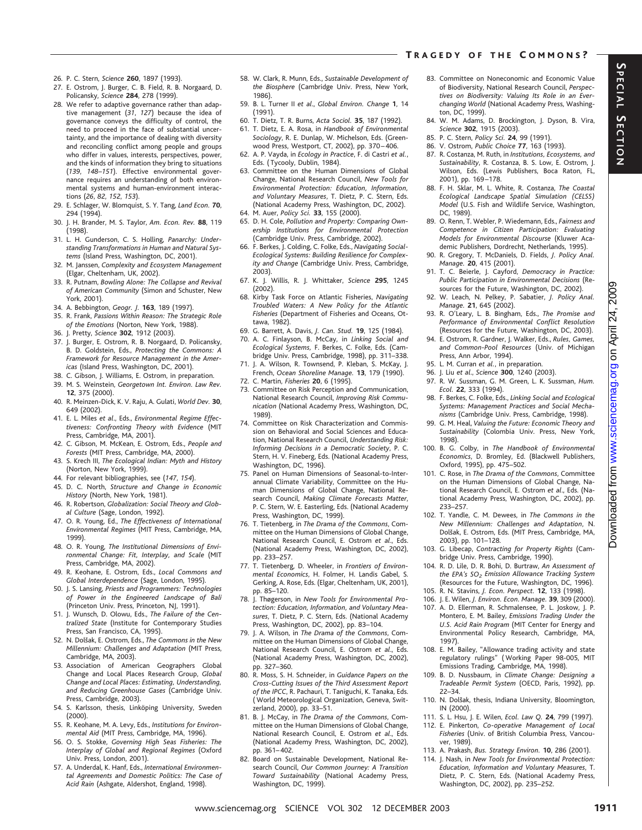SPECIAL SECTION **PECIAL SECTION**

#### - TRAGEDY OF THE COMMONS?

- 26. P. C. Stern, *Science* **260**, 1897 (1993).
- 27. E. Ostrom, J. Burger, C. B. Field, R. B. Norgaard, D. Policansky, *Science* **284**, 278(1999).
- 28. We refer to adaptive governance rather than adaptive management (*31*, *127*) because the idea of governance conveys the difficulty of control, the need to proceed in the face of substantial uncertainty, and the importance of dealing with diversity and reconciling conflict among people and groups who differ in values, interests, perspectives, power, and the kinds of information they bring to situations (*139*, *148*–*151*). Effective environmental governance requires an understanding of both environmental systems and human-environment interactions (*26*, *82*, *152*, *153*).
- 29. E. Schlager, W. Blomquist, S. Y. Tang, *Land Econ.* **70**, 294 (1994).
- 30. J. H. Brander, M. S. Taylor, *Am. Econ. Rev.* **88**, 119 (1998).
- 31. L. H. Gunderson, C. S. Holling, *Panarchy: Understanding Transformations in Human and Natural Systems* (Island Press, Washington, DC, 2001).
- 32. M. Janssen, *Complexity and Ecosystem Management* (Elgar, Cheltenham, UK, 2002).
- 33. R. Putnam, *Bowling Alone: The Collapse and Revival of American Community* (Simon and Schuster, New York, 2001).
- 34. A. Bebbington, *Geogr. J.* **163**, 189 (1997).
- 35. R. Frank, *Passions Within Reason: The Strategic Role of the Emotions* (Norton, New York, 1988).
- 36. J. Pretty, *Science* **302**, 1912 (2003).
- 37. J. Burger, E. Ostrom, R. B. Norgaard, D. Policansky, B. D. Goldstein, Eds., *Protecting the Commons: A Framework for Resource Management in the Americas* (Island Press, Washington, DC, 2001).
- 38. C. Gibson, J. Williams, E. Ostrom, in preparation.
- 39. M. S. Weinstein, *Georgetown Int. Environ. Law Rev.* **12**, 375 (2000).
- 40. R. Meinzen-Dick, K. V. Raju, A. Gulati, *World Dev.* **30**, 649 (2002).
- 41. E. L. Miles *et al*., Eds., *Environmental Regime Effectiveness: Confronting Theory with Evidence* (MIT Press, Cambridge, MA, 2001).
- 42. C. Gibson, M. McKean, E. Ostrom, Eds., *People and Forests* (MIT Press, Cambridge, MA, 2000).
- 43. S. Krech III, *The Ecological Indian: Myth and History* (Norton, New York, 1999).
- 44. For relevant bibliographies, see (*147*, *154*).
- 45. D. C. North, *Structure and Change in Economic History* (North, New York, 1981).
- 46. R. Robertson, *Globalization: Social Theory and Global Culture* (Sage, London, 1992).
- 47. O. R. Young, Ed., *The Effectiveness of International Environmental Regimes* (MIT Press, Cambridge, MA, 1999).
- 48. O. R. Young, *The Institutional Dimensions of Environmental Change: Fit, Interplay, and Scale* (MIT Press, Cambridge, MA, 2002).
- 49. R. Keohane, E. Ostrom, Eds., *Local Commons and Global Interdependence* (Sage, London, 1995).
- 50. J. S. Lansing, *Priests and Programmers: Technologies of Power in the Engineered Landscape of Bali* (Princeton Univ. Press, Princeton, NJ, 1991).
- 51. J. Wunsch, D. Olowu, Eds., *The Failure of the Centralized State* (Institute for Contemporary Studies Press, San Francisco, CA, 1995).
- 52. N. Dolšak, E. Ostrom, Eds., *The Commons in the New Millennium: Challenges and Adaptation* (MIT Press, Cambridge, MA, 2003).
- 53. Association of American Geographers Global Change and Local Places Research Group, *Global Change and Local Places: Estimating, Understanding, and Reducing Greenhouse Gases* (Cambridge Univ. Press, Cambridge, 2003).
- 54. S. Karlsson, thesis, Linköping University, Sweden (2000).
- 55. R. Keohane, M. A. Levy, Eds., *Institutions for Environmental Aid* (MIT Press, Cambridge, MA, 1996).
- 56. O. S. Stokke, *Governing High Seas Fisheries: The Interplay of Global and Regional Regimes* (Oxford Univ. Press, London, 2001).
- 57. A. Underdal, K. Hanf, Eds., *International Environmental Agreements and Domestic Politics: The Case of Acid Rain* (Ashgate, Aldershot, England, 1998).
- 58. W. Clark, R. Munn, Eds., *Sustainable Development of the Biosphere* (Cambridge Univ. Press, New York, 1986)
- 59. B. L. Turner II *et al*., *Global Environ. Change* **1**, 14 (1991).
- 60. T. Dietz, T. R. Burns, *Acta Sociol.* **35**, 187 (1992).
- 61. T. Dietz, E. A. Rosa, in *Handbook of Environmental Sociology*, R. E. Dunlap, W. Michelson, Eds. (Greenwood Press, Westport, CT, 2002), pp. 370 – 406.
- 62. A. P. Vayda, in *Ecology in Practice*, F. di Castri *et al.*, Eds. ( Tycooly, Dublin, 1984).
- 63. Committee on the Human Dimensions of Global Change, National Research Council, *New Tools for Environmental Protection: Education, Information, and Voluntary Measures*, T. Dietz, P. C. Stern, Eds. (National Academy Press, Washington, DC, 2002).
- 64. M. Auer, *Policy Sci.* **33**, 155 (2000).
- 65. D. H. Cole, *Pollution and Property: Comparing Ownership Institutions for Environmental Protection* (Cambridge Univ. Press, Cambridge, 2002).
- 66. F. Berkes, J. Colding, C. Folke, Eds., *Navigating Social-Ecological Systems: Building Resilience for Complexity and Change* (Cambridge Univ. Press, Cambridge, 2003).
- 67. K. J. Willis, R. J. Whittaker, *Science* **295**, 1245 (2002).
- 68. Kirby Task Force on Atlantic Fisheries, *Navigating Troubled Waters: A New Policy for the Atlantic Fisheries* (Department of Fisheries and Oceans, Ottawa, 1982).
- 69. G. Barrett, A. Davis, *J. Can. Stud.* **19**, 125 (1984).
- 70. A. C. Finlayson, B. McCay, in *Linking Social and Ecological Systems,* F. Berkes, C. Folke, Eds. (Cambridge Univ. Press, Cambridge, 1998), pp. 311–338.
- J. A. Wilson, R. Townsend, P. Kleban, S. McKay, J. French, *Ocean Shoreline Manage.* **13**, 179 (1990). 72. C. Martin, *Fisheries* **20**, 6 (1995).
- 
- 73. Committee on Risk Perception and Communication, National Research Council, *Improving Risk Communication* (National Academy Press, Washington, DC, 1989).
- 74. Committee on Risk Characterization and Commission on Behavioral and Social Sciences and Education, National Research Council, *Understanding Risk: Informing Decisions in a Democratic Society*, P. C. Stern, H. V. Fineberg, Eds. (National Academy Press, Washington, DC, 1996).
- 75. Panel on Human Dimensions of Seasonal-to-Interannual Climate Variability, Committee on the Human Dimensions of Global Change, National Research Council, *Making Climate Forecasts Matter*, P. C. Stern, W. E. Easterling, Eds. (National Academy Press, Washington, DC, 1999).
- 76. T. Tietenberg, in *The Drama of the Commons*, Committee on the Human Dimensions of Global Change, National Research Council, E. Ostrom *et al*., Eds. (National Academy Press, Washington, DC, 2002), pp. 233–257.
- 77. T. Tietenberg, D. Wheeler, in *Frontiers of Environmental Economics*, H. Folmer, H. Landis Gabel, S. Gerking, A. Rose, Eds. (Elgar, Cheltenham, UK, 2001), pp. 85–120.
- 78. J. Thøgerson, in *New Tools for Environmental Protection: Education, Information, and Voluntary Measures*, T. Dietz, P. C. Stern, Eds. (National Academy Press, Washington, DC, 2002), pp. 83–104.
- 79. J. A. Wilson, in *The Drama of the Commons*, Committee on the Human Dimensions of Global Change, National Research Council, E. Ostrom *et al*., Eds. (National Academy Press, Washington, DC, 2002), pp. 327–360.
- 80. R. Moss, S. H. Schneider, in *Guidance Papers on the Cross-Cutting Issues of the Third Assessment Report of the IPCC*, R. Pachauri, T. Taniguchi, K. Tanaka, Eds. ( World Meteorological Organization, Geneva, Switzerland, 2000), pp. 33–51.
- 81. B. J. McCay, in *The Drama of the Commons*, Committee on the Human Dimensions of Global Change, National Research Council, E. Ostrom *et al*., Eds. (National Academy Press, Washington, DC, 2002), pp. 361– 402.
- 82. Board on Sustainable Development, National Research Council, *Our Common Journey: A Transition Toward Sustainability* (National Academy Press, Washington, DC, 1999).
- 83. Committee on Noneconomic and Economic Value of Biodiversity, National Research Council, *Perspectives on Biodiversity: Valuing Its Role in an Everchanging World* (National Academy Press, Washington, DC, 1999).
- 84. W. M. Adams, D. Brockington, J. Dyson, B. Vira, *Science* **302**, 1915 (2003).
- 85. P. C. Stern, *Policy Sci.* **24**, 99 (1991).
- 86. V. Ostrom, *Public Choice* **77**, 163 (1993).
- 87. R. Costanza, M. Ruth, in *Institutions, Ecosystems, and Sustainability*, R. Costanza, B. S. Low, E. Ostrom, J. Wilson, Eds. (Lewis Publishers, Boca Raton, FL, 2001), pp. 169 –178.
- 88. F. H. Sklar, M. L. White, R. Costanza, *The Coastal Ecological Landscape Spatial Simulation (CELSS) Model* (U.S. Fish and Wildlife Service, Washington, DC, 1989).
- 89. O. Renn, T. Webler, P. Wiedemann, Eds., *Fairness and Competence in Citizen Participation: Evaluating Models for Environmental Discourse* (Kluwer Academic Publishers, Dordrecht, Netherlands, 1995).
- 90. R. Gregory, T. McDaniels, D. Fields, *J. Policy Anal. Manage.* **20**, 415 (2001).
- 91. T. C. Beierle, J. Cayford, *Democracy in Practice: Public Participation in Environmental Decisions* (Resources for the Future, Washington, DC, 2002).
- 92. W. Leach, N. Pelkey, P. Sabatier, *J. Policy Anal. Manage.* **21**, 645 (2002).
- 93. R. O'Leary, L. B. Bingham, Eds., *The Promise and Performance of Environmental Conflict Resolution* (Resources for the Future, Washington, DC, 2003).
- 94. E. Ostrom, R. Gardner, J. Walker, Eds., *Rules, Games, and Common-Pool Resources* (Univ. of Michigan Press, Ann Arbor, 1994).
- 95. L. M. Curran *et al.*, in preparation.
- 96. J. Liu *et al*., *Science* **300**, 1240 (2003).
- 97. R. W. Sussman, G. M. Green, L. K. Sussman, *Hum. Ecol.* **22**, 333 (1994).
- 98. F. Berkes, C. Folke, Eds., *Linking Social and Ecological Systems: Management Practices and Social Mechanisms* (Cambridge Univ. Press, Cambridge, 1998).
- 99. G. M. Heal, *Valuing the Future: Economic Theory and Sustainability* (Colombia Univ. Press, New York, 1998).
- 100. B. G. Colby, in *The Handbook of Environmental Economics*, D. Bromley, Ed. (Blackwell Publishers, Oxford, 1995), pp. 475–502.
- 101. C. Rose, in *The Drama of the Commons*, Committee on the Human Dimensions of Global Change, National Research Council, E. Ostrom *et al*., Eds. (National Academy Press, Washington, DC, 2002), pp. 233–257.
- 102. T. Yandle, C. M. Dewees, in *The Commons in the New Millennium: Challenges and Adaptation*, N. Dolšak, E. Ostrom, Eds. (MIT Press, Cambridge, MA, 2003), pp. 101–128.
- 103. G. Libecap, *Contracting for Property Rights* (Cambridge Univ. Press, Cambridge, 1990).
- 104. R. D. Lile, D. R. Bohi, D. Burtraw, *An Assessment of the EPA's SO2 Emission Allowance Tracking System* (Resources for the Future, Washington, DC, 1996).
- 105. R. N. Stavins, *J. Econ. Perspect.* **12**, 133 (1998).
- 106. J. E. Wilen, *J. Environ. Econ. Manage.* **39**, 309 (2000). 107. A. D. Ellerman, R. Schmalensee, P. L. Joskow, J. P. Montero, E. M. Bailey, *Emissions Trading Under the U.S. Acid Rain Program* (MIT Center for Energy and Environmental Policy Research, Cambridge, MA, 1997).
- 108. E. M. Bailey, "Allowance trading activity and state regulatory rulings" ( Working Paper 98-005, MIT Emissions Trading, Cambridge, MA, 1998).
- 109. B. D. Nussbaum, in *Climate Change: Designing a Tradeable Permit System* (OECD, Paris, 1992), pp. 22–34.
- 110. N. Dolšak, thesis, Indiana University, Bloomington, IN (2000).
- 111. S. L. Hsu, J. E. Wilen, *Ecol. Law Q.* **24**, 799 (1997).
- 112. E. Pinkerton, *Co-operative Management of Local Fisheries* (Univ. of British Columbia Press, Vancouver, 1989).
- 113. A. Prakash, *Bus. Strategy Environ.* **10**, 286 (2001).
- 114. J. Nash, in *New Tools for Environmental Protection: Education, Information and Voluntary Measures*, T. Dietz, P. C. Stern, Eds. (National Academy Press, Washington, DC, 2002), pp. 235–252.

www.sciencemag.orgon April 24, 2009

Downloaded from www.sciencemag.org on April 24, 2009

Downloaded from